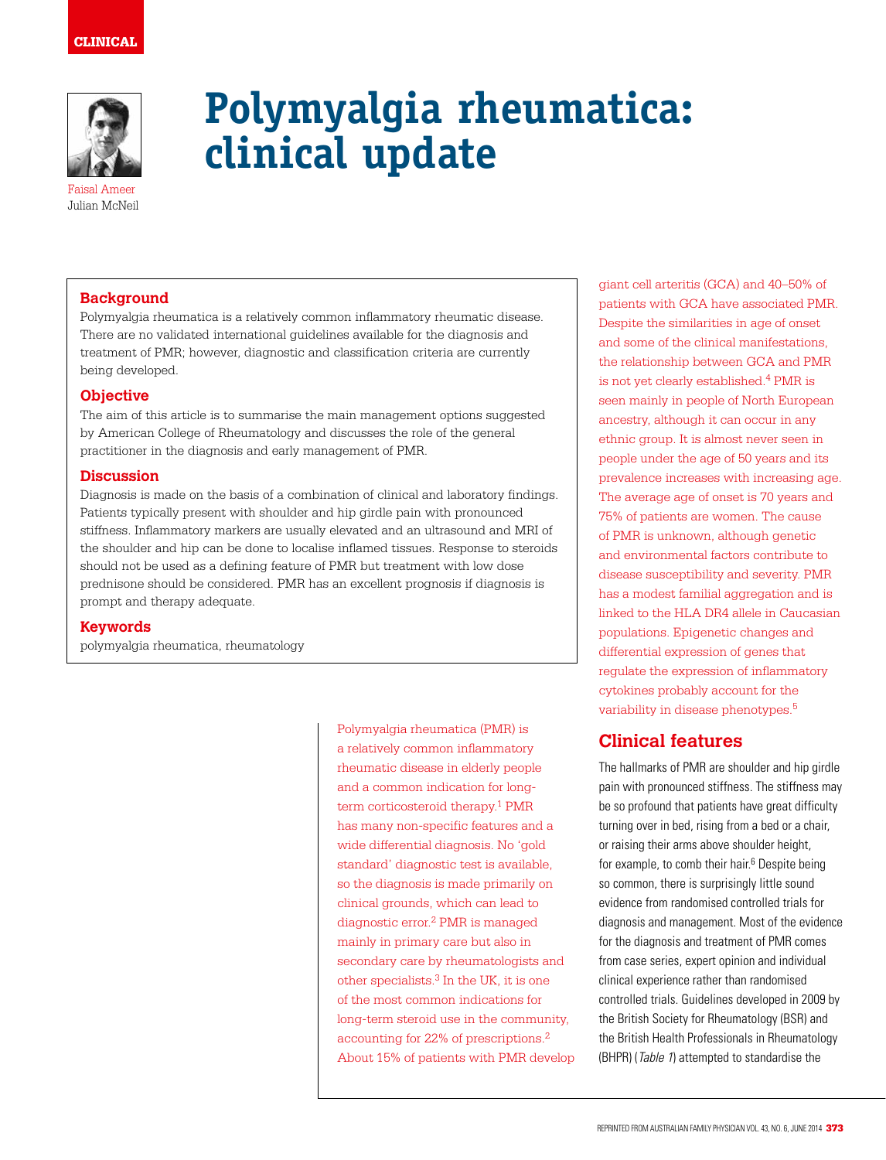

# **Polymyalgia rheumatica: clinical update**

Faisal Ameer Julian McNeil

### **Background**

Polymyalgia rheumatica is a relatively common inflammatory rheumatic disease. There are no validated international guidelines available for the diagnosis and treatment of PMR; however, diagnostic and classification criteria are currently being developed.

#### **Objective**

The aim of this article is to summarise the main management options suggested by American College of Rheumatology and discusses the role of the general practitioner in the diagnosis and early management of PMR.

#### **Discussion**

Diagnosis is made on the basis of a combination of clinical and laboratory findings. Patients typically present with shoulder and hip girdle pain with pronounced stiffness. Inflammatory markers are usually elevated and an ultrasound and MRI of the shoulder and hip can be done to localise inflamed tissues. Response to steroids should not be used as a defining feature of PMR but treatment with low dose prednisone should be considered. PMR has an excellent prognosis if diagnosis is prompt and therapy adequate.

#### **Keywords**

polymyalgia rheumatica, rheumatology

Polymyalgia rheumatica (PMR) is a relatively common inflammatory rheumatic disease in elderly people and a common indication for longterm corticosteroid therapy.<sup>1</sup> PMR has many non-specific features and a wide differential diagnosis. No 'gold standard' diagnostic test is available, so the diagnosis is made primarily on clinical grounds, which can lead to diagnostic error.2 PMR is managed mainly in primary care but also in secondary care by rheumatologists and other specialists.3 In the UK, it is one of the most common indications for long-term steroid use in the community, accounting for 22% of prescriptions.2 About 15% of patients with PMR develop

giant cell arteritis (GCA) and 40–50% of patients with GCA have associated PMR. Despite the similarities in age of onset and some of the clinical manifestations, the relationship between GCA and PMR is not yet clearly established.4 PMR is seen mainly in people of North European ancestry, although it can occur in any ethnic group. It is almost never seen in people under the age of 50 years and its prevalence increases with increasing age. The average age of onset is 70 years and 75% of patients are women. The cause of PMR is unknown, although genetic and environmental factors contribute to disease susceptibility and severity. PMR has a modest familial aggregation and is linked to the HLA DR4 allele in Caucasian populations. Epigenetic changes and differential expression of genes that regulate the expression of inflammatory cytokines probably account for the variability in disease phenotypes.5

# **Clinical features**

The hallmarks of PMR are shoulder and hip girdle pain with pronounced stiffness. The stiffness may be so profound that patients have great difficulty turning over in bed, rising from a bed or a chair, or raising their arms above shoulder height, for example, to comb their hair.<sup>6</sup> Despite being so common, there is surprisingly little sound evidence from randomised controlled trials for diagnosis and management. Most of the evidence for the diagnosis and treatment of PMR comes from case series, expert opinion and individual clinical experience rather than randomised controlled trials. Guidelines developed in 2009 by the British Society for Rheumatology (BSR) and the British Health Professionals in Rheumatology (BHPR) (Table 1) attempted to standardise the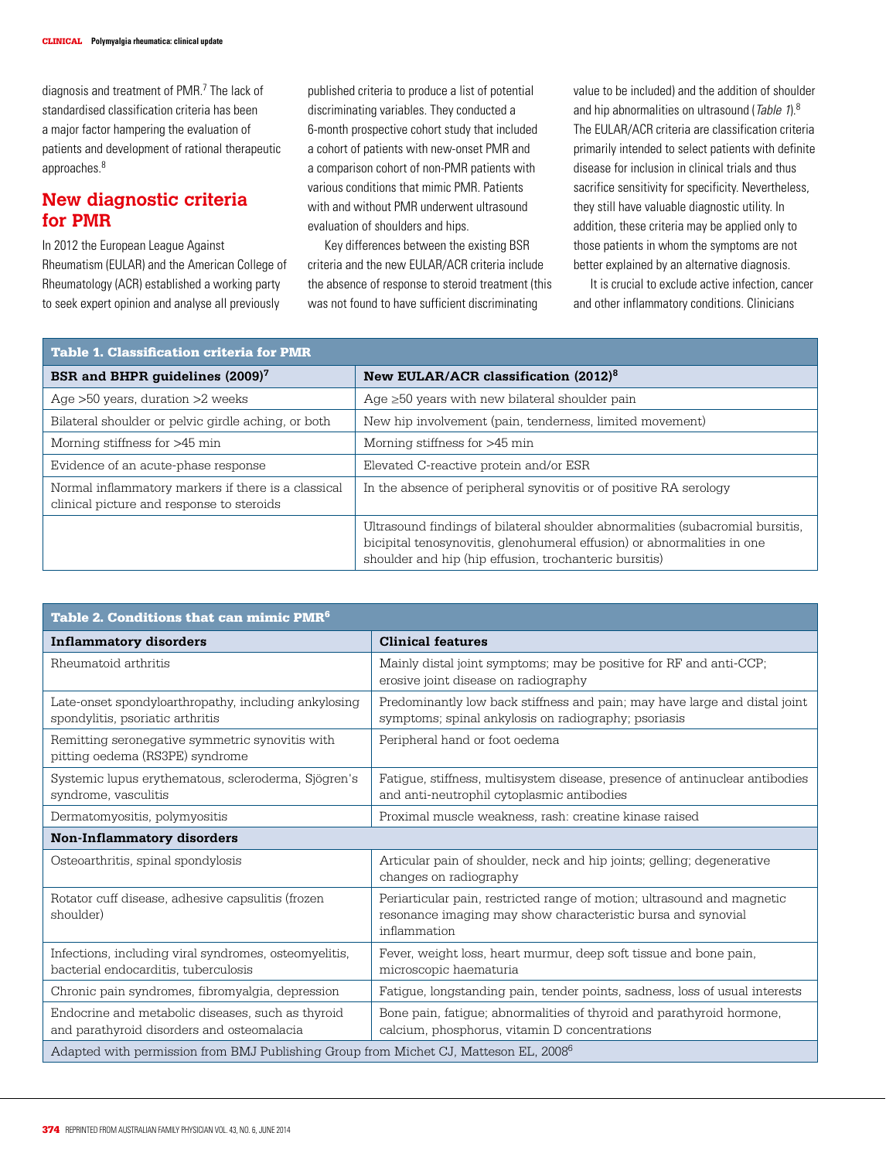diagnosis and treatment of PMR.<sup>7</sup> The lack of standardised classification criteria has been a major factor hampering the evaluation of patients and development of rational therapeutic approaches.8

# **New diagnostic criteria for PMR**

In 2012 the European League Against Rheumatism (EULAR) and the American College of Rheumatology (ACR) established a working party to seek expert opinion and analyse all previously

published criteria to produce a list of potential discriminating variables. They conducted a 6-month prospective cohort study that included a cohort of patients with new-onset PMR and a comparison cohort of non-PMR patients with various conditions that mimic PMR. Patients with and without PMR underwent ultrasound evaluation of shoulders and hips.

Key differences between the existing BSR criteria and the new EULAR/ACR criteria include the absence of response to steroid treatment (this was not found to have sufficient discriminating

value to be included) and the addition of shoulder and hip abnormalities on ultrasound (Table 1).8 The EULAR/ACR criteria are classification criteria primarily intended to select patients with definite disease for inclusion in clinical trials and thus sacrifice sensitivity for specificity. Nevertheless, they still have valuable diagnostic utility. In addition, these criteria may be applied only to those patients in whom the symptoms are not better explained by an alternative diagnosis.

It is crucial to exclude active infection, cancer and other inflammatory conditions. Clinicians

| <b>Table 1. Classification criteria for PMR</b>                                                  |                                                                                                                                                                                                                     |  |
|--------------------------------------------------------------------------------------------------|---------------------------------------------------------------------------------------------------------------------------------------------------------------------------------------------------------------------|--|
| BSR and BHPR guidelines (2009) <sup>7</sup>                                                      | New EULAR/ACR classification (2012) <sup>8</sup>                                                                                                                                                                    |  |
| Age $>50$ years, duration $>2$ weeks                                                             | Age $\geq 50$ years with new bilateral shoulder pain                                                                                                                                                                |  |
| Bilateral shoulder or pelvic girdle aching, or both                                              | New hip involvement (pain, tenderness, limited movement)                                                                                                                                                            |  |
| Morning stiffness for >45 min                                                                    | Morning stiffness for >45 min                                                                                                                                                                                       |  |
| Evidence of an acute-phase response                                                              | Elevated C-reactive protein and/or ESR                                                                                                                                                                              |  |
| Normal inflammatory markers if there is a classical<br>clinical picture and response to steroids | In the absence of peripheral synovitis or of positive RA serology                                                                                                                                                   |  |
|                                                                                                  | Ultrasound findings of bilateral shoulder abnormalities (subacromial bursitis,<br>bicipital tenosynovitis, glenohumeral effusion) or abnormalities in one<br>shoulder and hip (hip effusion, trochanteric bursitis) |  |

| Table 2. Conditions that can mimic PMR <sup>6</sup>                                              |                                                                                                                                                         |  |
|--------------------------------------------------------------------------------------------------|---------------------------------------------------------------------------------------------------------------------------------------------------------|--|
| <b>Inflammatory disorders</b>                                                                    | <b>Clinical features</b>                                                                                                                                |  |
| Rheumatoid arthritis                                                                             | Mainly distal joint symptoms; may be positive for RF and anti-CCP;<br>erosive joint disease on radiography                                              |  |
| Late-onset spondyloarthropathy, including ankylosing<br>spondylitis, psoriatic arthritis         | Predominantly low back stiffness and pain; may have large and distal joint<br>symptoms; spinal ankylosis on radiography; psoriasis                      |  |
| Remitting seronegative symmetric synovitis with<br>pitting oedema (RS3PE) syndrome               | Peripheral hand or foot oedema                                                                                                                          |  |
| Systemic lupus erythematous, scleroderma, Sjögren's<br>syndrome, vasculitis                      | Fatigue, stiffness, multisystem disease, presence of antinuclear antibodies<br>and anti-neutrophil cytoplasmic antibodies                               |  |
| Dermatomyositis, polymyositis                                                                    | Proximal muscle weakness, rash: creatine kinase raised                                                                                                  |  |
| <b>Non-Inflammatory disorders</b>                                                                |                                                                                                                                                         |  |
| Osteoarthritis, spinal spondylosis                                                               | Articular pain of shoulder, neck and hip joints; gelling; degenerative<br>changes on radiography                                                        |  |
| Rotator cuff disease, adhesive capsulitis (frozen<br>shoulder)                                   | Periarticular pain, restricted range of motion; ultrasound and magnetic<br>resonance imaging may show characteristic bursa and synovial<br>inflammation |  |
| Infections, including viral syndromes, osteomyelitis,<br>bacterial endocarditis, tuberculosis    | Fever, weight loss, heart murmur, deep soft tissue and bone pain,<br>microscopic haematuria                                                             |  |
| Chronic pain syndromes, fibromyalgia, depression                                                 | Fatigue, longstanding pain, tender points, sadness, loss of usual interests                                                                             |  |
| Endocrine and metabolic diseases, such as thyroid<br>and parathyroid disorders and osteomalacia  | Bone pain, fatigue; abnormalities of thyroid and parathyroid hormone,<br>calcium, phosphorus, vitamin D concentrations                                  |  |
| Adapted with permission from BMJ Publishing Group from Michet CJ, Matteson EL, 2008 <sup>6</sup> |                                                                                                                                                         |  |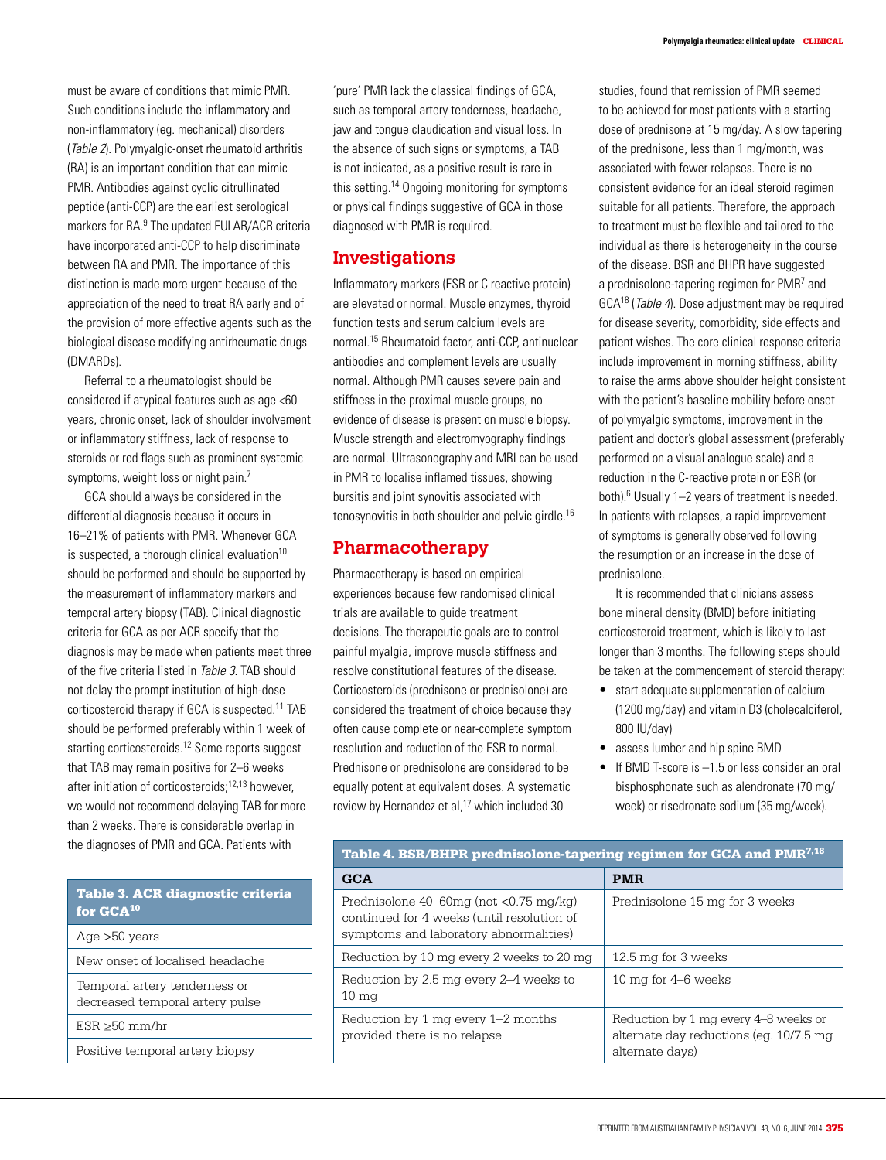must be aware of conditions that mimic PMR. Such conditions include the inflammatory and non-inflammatory (eg. mechanical) disorders (Table 2). Polymyalgic-onset rheumatoid arthritis (RA) is an important condition that can mimic PMR. Antibodies against cyclic citrullinated peptide (anti-CCP) are the earliest serological markers for RA.<sup>9</sup> The updated EULAR/ACR criteria have incorporated anti-CCP to help discriminate between RA and PMR. The importance of this distinction is made more urgent because of the appreciation of the need to treat RA early and of the provision of more effective agents such as the biological disease modifying antirheumatic drugs (DMARDs).

Referral to a rheumatologist should be considered if atypical features such as age <60 years, chronic onset, lack of shoulder involvement or inflammatory stiffness, lack of response to steroids or red flags such as prominent systemic symptoms, weight loss or night pain.<sup>7</sup>

GCA should always be considered in the differential diagnosis because it occurs in 16–21% of patients with PMR. Whenever GCA is suspected, a thorough clinical evaluation $10$ should be performed and should be supported by the measurement of inflammatory markers and temporal artery biopsy (TAB). Clinical diagnostic criteria for GCA as per ACR specify that the diagnosis may be made when patients meet three of the five criteria listed in Table 3. TAB should not delay the prompt institution of high-dose corticosteroid therapy if GCA is suspected.<sup>11</sup> TAB should be performed preferably within 1 week of starting corticosteroids.<sup>12</sup> Some reports suggest that TAB may remain positive for 2–6 weeks after initiation of corticosteroids;12,13 however, we would not recommend delaying TAB for more than 2 weeks. There is considerable overlap in the diagnoses of PMR and GCA. Patients with

| Table 3. ACR diagnostic criteria<br>for GCA <sup>10</sup> |
|-----------------------------------------------------------|
| Age $>50$ years                                           |

New onset of localised headache

Temporal artery tenderness or decreased temporal artery pulse

ESR ≥50 mm/hr

Positive temporal artery biopsy

'pure' PMR lack the classical findings of GCA, such as temporal artery tenderness, headache, jaw and tongue claudication and visual loss. In the absence of such signs or symptoms, a TAB is not indicated, as a positive result is rare in this setting.14 Ongoing monitoring for symptoms or physical findings suggestive of GCA in those diagnosed with PMR is required.

## **Investigations**

Inflammatory markers (ESR or C reactive protein) are elevated or normal. Muscle enzymes, thyroid function tests and serum calcium levels are normal.15 Rheumatoid factor, anti-CCP, antinuclear antibodies and complement levels are usually normal. Although PMR causes severe pain and stiffness in the proximal muscle groups, no evidence of disease is present on muscle biopsy. Muscle strength and electromyography findings are normal. Ultrasonography and MRI can be used in PMR to localise inflamed tissues, showing bursitis and joint synovitis associated with tenosynovitis in both shoulder and pelvic girdle.<sup>16</sup>

# **Pharmacotherapy**

Pharmacotherapy is based on empirical experiences because few randomised clinical trials are available to guide treatment decisions. The therapeutic goals are to control painful myalgia, improve muscle stiffness and resolve constitutional features of the disease. Corticosteroids (prednisone or prednisolone) are considered the treatment of choice because they often cause complete or near-complete symptom resolution and reduction of the ESR to normal. Prednisone or prednisolone are considered to be equally potent at equivalent doses. A systematic review by Hernandez et al,<sup>17</sup> which included 30

studies, found that remission of PMR seemed to be achieved for most patients with a starting dose of prednisone at 15 mg/day. A slow tapering of the prednisone, less than 1 mg/month, was associated with fewer relapses. There is no consistent evidence for an ideal steroid regimen suitable for all patients. Therefore, the approach to treatment must be flexible and tailored to the individual as there is heterogeneity in the course of the disease. BSR and BHPR have suggested a prednisolone-tapering regimen for PMR<sup>7</sup> and GCA18 (Table 4). Dose adjustment may be required for disease severity, comorbidity, side effects and patient wishes. The core clinical response criteria

include improvement in morning stiffness, ability to raise the arms above shoulder height consistent with the patient's baseline mobility before onset of polymyalgic symptoms, improvement in the patient and doctor's global assessment (preferably performed on a visual analogue scale) and a reduction in the C-reactive protein or ESR (or both).<sup>6</sup> Usually 1-2 years of treatment is needed. In patients with relapses, a rapid improvement of symptoms is generally observed following the resumption or an increase in the dose of prednisolone.

It is recommended that clinicians assess bone mineral density (BMD) before initiating corticosteroid treatment, which is likely to last longer than 3 months. The following steps should be taken at the commencement of steroid therapy:

- start adequate supplementation of calcium (1200 mg/day) and vitamin D3 (cholecalciferol, 800 IU/day)
- assess lumber and hip spine BMD
- If BMD T-score is -1.5 or less consider an oral bisphosphonate such as alendronate (70 mg/ week) or risedronate sodium (35 mg/week).

| Table 4. BSR/BHPR prednisolone-tapering regimen for GCA and PMR <sup>7,18</sup>                                                      |                                                                                                     |  |
|--------------------------------------------------------------------------------------------------------------------------------------|-----------------------------------------------------------------------------------------------------|--|
| <b>GCA</b>                                                                                                                           | <b>PMR</b>                                                                                          |  |
| Prednisolone $40-60$ mg (not < $0.75$ mg/kg)<br>continued for 4 weeks (until resolution of<br>symptoms and laboratory abnormalities) | Prednisolone 15 mg for 3 weeks                                                                      |  |
| Reduction by 10 mg every 2 weeks to 20 mg                                                                                            | 12.5 mg for 3 weeks                                                                                 |  |
| Reduction by 2.5 mg every 2–4 weeks to<br>$10 \text{ mg}$                                                                            | 10 mg for 4–6 weeks                                                                                 |  |
| Reduction by 1 mg every 1-2 months<br>provided there is no relapse                                                                   | Reduction by 1 mg every 4–8 weeks or<br>alternate day reductions (eq. 10/7.5 mg)<br>alternate davs) |  |